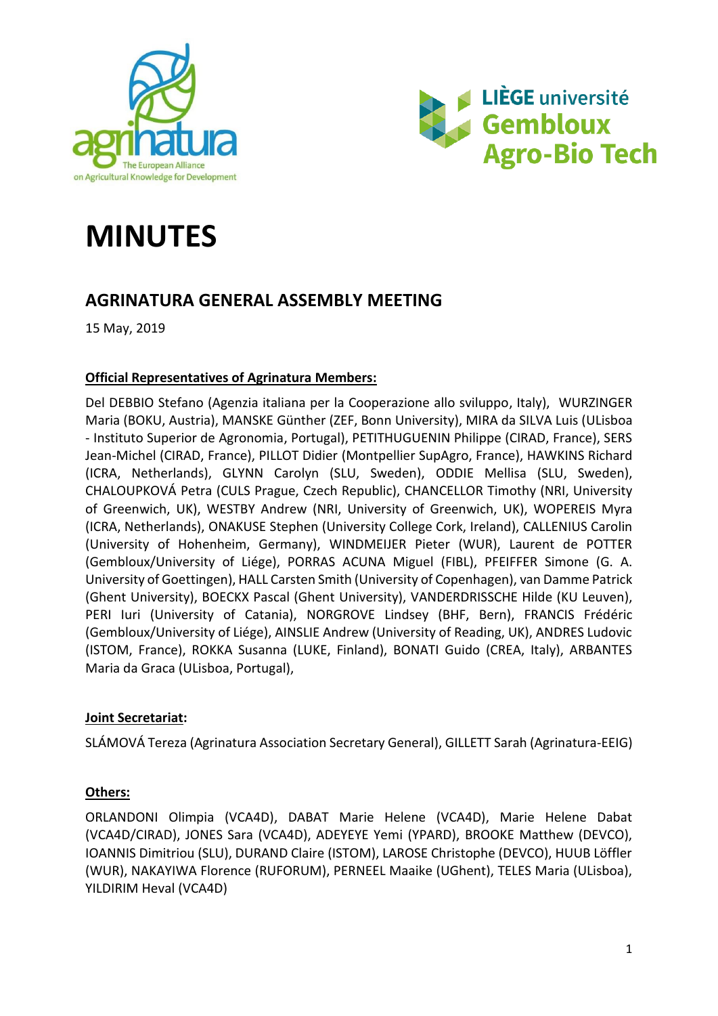



# **MINUTES**

# **AGRINATURA GENERAL ASSEMBLY MEETING**

15 May, 2019

#### **Official Representatives of Agrinatura Members:**

Del DEBBIO Stefano (Agenzia italiana per la Cooperazione allo sviluppo, Italy), WURZINGER Maria (BOKU, Austria), MANSKE Günther (ZEF, Bonn University), MIRA da SILVA Luis (ULisboa - Instituto Superior de Agronomia, Portugal), PETITHUGUENIN Philippe (CIRAD, France), SERS Jean-Michel (CIRAD, France), PILLOT Didier (Montpellier SupAgro, France), HAWKINS Richard (ICRA, Netherlands), GLYNN Carolyn (SLU, Sweden), ODDIE Mellisa (SLU, Sweden), CHALOUPKOVÁ Petra (CULS Prague, Czech Republic), CHANCELLOR Timothy (NRI, University of Greenwich, UK), WESTBY Andrew (NRI, University of Greenwich, UK), WOPEREIS Myra (ICRA, Netherlands), ONAKUSE Stephen (University College Cork, Ireland), CALLENIUS Carolin (University of Hohenheim, Germany), WINDMEIJER Pieter (WUR), Laurent de POTTER (Gembloux/University of Liége), PORRAS ACUNA Miguel (FIBL), PFEIFFER Simone (G. A. University of Goettingen), HALL Carsten Smith (University of Copenhagen), van Damme Patrick (Ghent University), BOECKX Pascal (Ghent University), VANDERDRISSCHE Hilde (KU Leuven), PERI Iuri (University of Catania), NORGROVE Lindsey (BHF, Bern), FRANCIS Frédéric (Gembloux/University of Liége), AINSLIE Andrew (University of Reading, UK), ANDRES Ludovic (ISTOM, France), ROKKA Susanna (LUKE, Finland), BONATI Guido (CREA, Italy), ARBANTES Maria da Graca (ULisboa, Portugal),

#### **Joint Secretariat:**

SLÁMOVÁ Tereza (Agrinatura Association Secretary General), GILLETT Sarah (Agrinatura-EEIG)

#### **Others:**

ORLANDONI Olimpia (VCA4D), DABAT Marie Helene (VCA4D), Marie Helene Dabat (VCA4D/CIRAD), JONES Sara (VCA4D), ADEYEYE Yemi (YPARD), BROOKE Matthew (DEVCO), IOANNIS Dimitriou (SLU), DURAND Claire (ISTOM), LAROSE Christophe (DEVCO), HUUB Löffler (WUR), NAKAYIWA Florence (RUFORUM), PERNEEL Maaike (UGhent), TELES Maria (ULisboa), YILDIRIM Heval (VCA4D)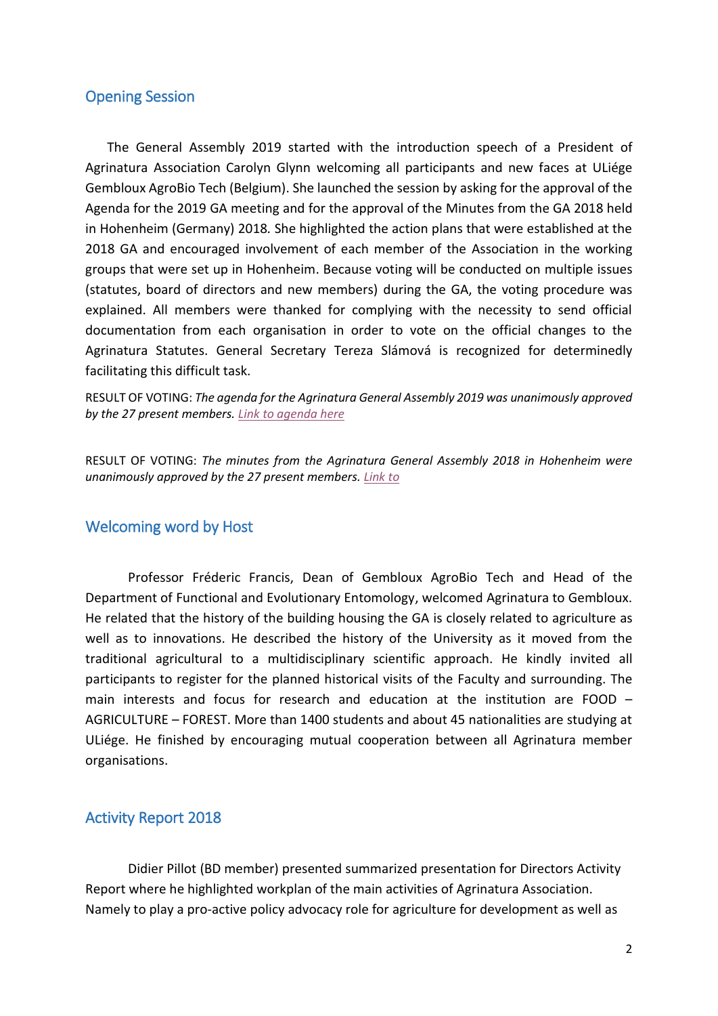#### Opening Session

The General Assembly 2019 started with the introduction speech of a President of Agrinatura Association Carolyn Glynn welcoming all participants and new faces at ULiége Gembloux AgroBio Tech (Belgium). She launched the session by asking for the approval of the Agenda for the 2019 GA meeting and for the approval of the Minutes from the GA 2018 held in Hohenheim (Germany) 2018*.* She highlighted the action plans that were established at the 2018 GA and encouraged involvement of each member of the Association in the working groups that were set up in Hohenheim. Because voting will be conducted on multiple issues (statutes, board of directors and new members) during the GA, the voting procedure was explained. All members were thanked for complying with the necessity to send official documentation from each organisation in order to vote on the official changes to the Agrinatura Statutes. General Secretary Tereza Slámová is recognized for determinedly facilitating this difficult task.

RESULT OF VOTING: *The agenda for the Agrinatura General Assembly 2019 was unanimously approved by the 27 present members. [Link to agenda here](https://agrinatura-eu.eu/wp-content/uploads/2019/04/Program-GA-2019-Gembloux.pdf)*

RESULT OF VOTING: *The minutes from the Agrinatura General Assembly 2018 in Hohenheim were unanimously approved by the 27 present members. [Link to](https://agrinatura-eu.eu/wp-content/uploads/2019/04/Minutes-Agrinatura-GA-2018.pdf)*

#### Welcoming word by Host

Professor Fréderic Francis, Dean of Gembloux AgroBio Tech and Head of the Department of Functional and Evolutionary Entomology, welcomed Agrinatura to Gembloux. He related that the history of the building housing the GA is closely related to agriculture as well as to innovations. He described the history of the University as it moved from the traditional agricultural to a multidisciplinary scientific approach. He kindly invited all participants to register for the planned historical visits of the Faculty and surrounding. The main interests and focus for research and education at the institution are FOOD – AGRICULTURE – FOREST. More than 1400 students and about 45 nationalities are studying at ULiége. He finished by encouraging mutual cooperation between all Agrinatura member organisations.

#### Activity Report 2018

Didier Pillot (BD member) presented summarized presentation for Directors Activity Report where he highlighted workplan of the main activities of Agrinatura Association. Namely to play a pro-active policy advocacy role for agriculture for development as well as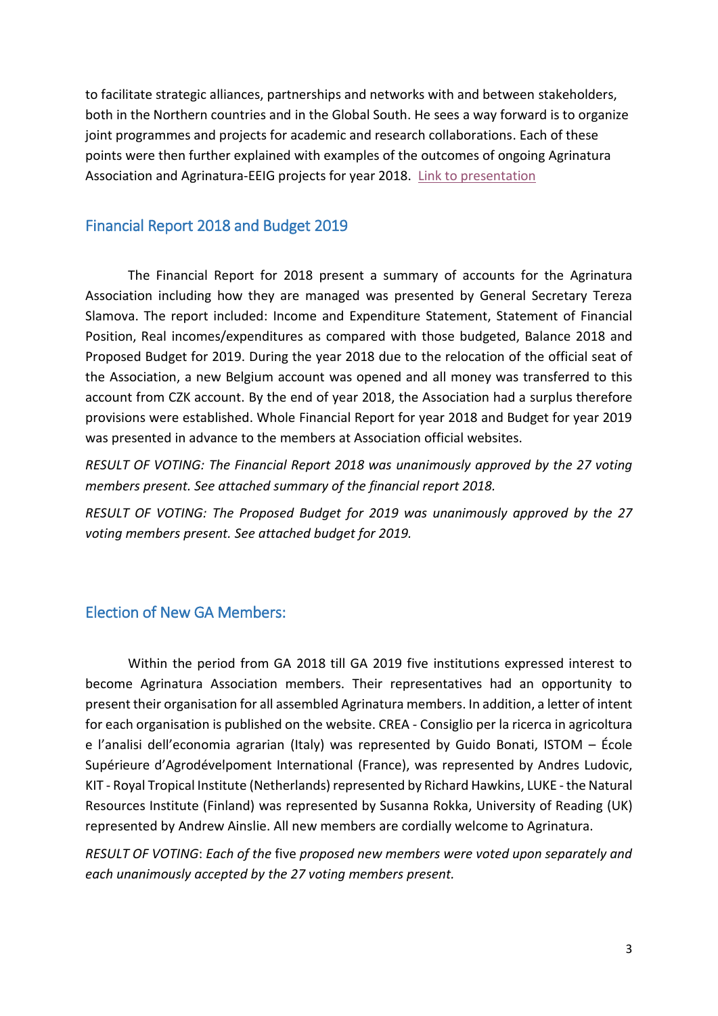to facilitate strategic alliances, partnerships and networks with and between stakeholders, both in the Northern countries and in the Global South. He sees a way forward is to organize joint programmes and projects for academic and research collaborations. Each of these points were then further explained with examples of the outcomes of ongoing Agrinatura Association and Agrinatura-EEIG projects for year 2018. [Link to presentation](https://agrinatura-eu.eu/wp-content/uploads/2019/06/Activity-report-2018-in-Gembloux-2019.ppt)

#### Financial Report 2018 and Budget 2019

The Financial Report for 2018 present a summary of accounts for the Agrinatura Association including how they are managed was presented by General Secretary Tereza Slamova. The report included: Income and Expenditure Statement, Statement of Financial Position, Real incomes/expenditures as compared with those budgeted, Balance 2018 and Proposed Budget for 2019. During the year 2018 due to the relocation of the official seat of the Association, a new Belgium account was opened and all money was transferred to this account from CZK account. By the end of year 2018, the Association had a surplus therefore provisions were established. Whole Financial Report for year 2018 and Budget for year 2019 was presented in advance to the members at Association official websites.

*RESULT OF VOTING: The Financial Report 2018 was unanimously approved by the 27 voting members present. See attached summary of the financial report 2018.*

*RESULT OF VOTING: The Proposed Budget for 2019 was unanimously approved by the 27 voting members present. See attached budget for 2019.*

#### Election of New GA Members:

Within the period from GA 2018 till GA 2019 five institutions expressed interest to become Agrinatura Association members. Their representatives had an opportunity to present their organisation for all assembled Agrinatura members. In addition, a letter of intent for each organisation is published on the website. CREA - Consiglio per la ricerca in agricoltura e l'analisi dell'economia agrarian (Italy) was represented by Guido Bonati, ISTOM – École Supérieure d'Agrodévelpoment International (France), was represented by Andres Ludovic, KIT - Royal Tropical Institute (Netherlands) represented by Richard Hawkins, LUKE - the Natural Resources Institute (Finland) was represented by Susanna Rokka, University of Reading (UK) represented by Andrew Ainslie. All new members are cordially welcome to Agrinatura.

*RESULT OF VOTING*: *Each of the* five *proposed new members were voted upon separately and each unanimously accepted by the 27 voting members present.*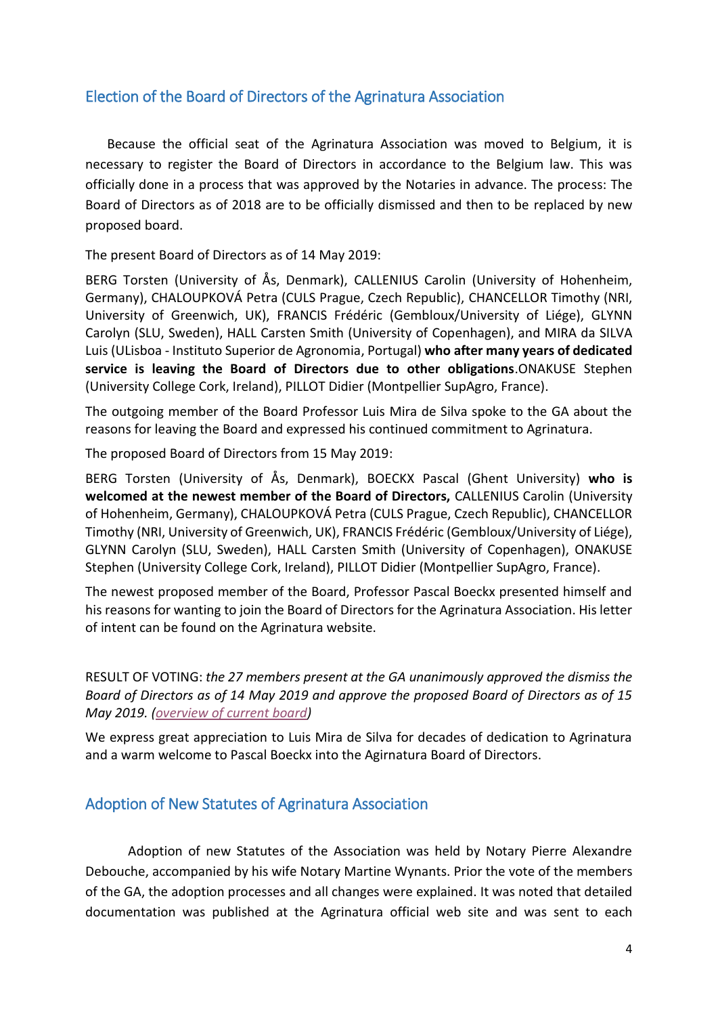#### Election of the Board of Directors of the Agrinatura Association

Because the official seat of the Agrinatura Association was moved to Belgium, it is necessary to register the Board of Directors in accordance to the Belgium law. This was officially done in a process that was approved by the Notaries in advance. The process: The Board of Directors as of 2018 are to be officially dismissed and then to be replaced by new proposed board.

The present Board of Directors as of 14 May 2019:

BERG Torsten (University of Ås, Denmark), CALLENIUS Carolin (University of Hohenheim, Germany), CHALOUPKOVÁ Petra (CULS Prague, Czech Republic), CHANCELLOR Timothy (NRI, University of Greenwich, UK), FRANCIS Frédéric (Gembloux/University of Liége), GLYNN Carolyn (SLU, Sweden), HALL Carsten Smith (University of Copenhagen), and MIRA da SILVA Luis (ULisboa - Instituto Superior de Agronomia, Portugal) **who after many years of dedicated service is leaving the Board of Directors due to other obligations**.ONAKUSE Stephen (University College Cork, Ireland), PILLOT Didier (Montpellier SupAgro, France).

The outgoing member of the Board Professor Luis Mira de Silva spoke to the GA about the reasons for leaving the Board and expressed his continued commitment to Agrinatura.

The proposed Board of Directors from 15 May 2019:

BERG Torsten (University of Ås, Denmark), BOECKX Pascal (Ghent University) **who is welcomed at the newest member of the Board of Directors,** CALLENIUS Carolin (University of Hohenheim, Germany), CHALOUPKOVÁ Petra (CULS Prague, Czech Republic), CHANCELLOR Timothy (NRI, University of Greenwich, UK), FRANCIS Frédéric (Gembloux/University of Liége), GLYNN Carolyn (SLU, Sweden), HALL Carsten Smith (University of Copenhagen), ONAKUSE Stephen (University College Cork, Ireland), PILLOT Didier (Montpellier SupAgro, France).

The newest proposed member of the Board, Professor Pascal Boeckx presented himself and his reasons for wanting to join the Board of Directors for the Agrinatura Association. His letter of intent can be found on the Agrinatura website.

RESULT OF VOTING: *the 27 members present at the GA unanimously approved the dismiss the Board of Directors as of 14 May 2019 and approve the proposed Board of Directors as of 15 May 2019. [\(overview of current board\)](https://agrinatura-eu.eu/wp-content/uploads/2019/07/Board-of-directors-Agrinatura-2016-2021-chart.pdf)*

We express great appreciation to Luis Mira de Silva for decades of dedication to Agrinatura and a warm welcome to Pascal Boeckx into the Agirnatura Board of Directors.

#### Adoption of New Statutes of Agrinatura Association

Adoption of new Statutes of the Association was held by Notary Pierre Alexandre Debouche, accompanied by his wife Notary Martine Wynants. Prior the vote of the members of the GA, the adoption processes and all changes were explained. It was noted that detailed documentation was published at the Agrinatura official web site and was sent to each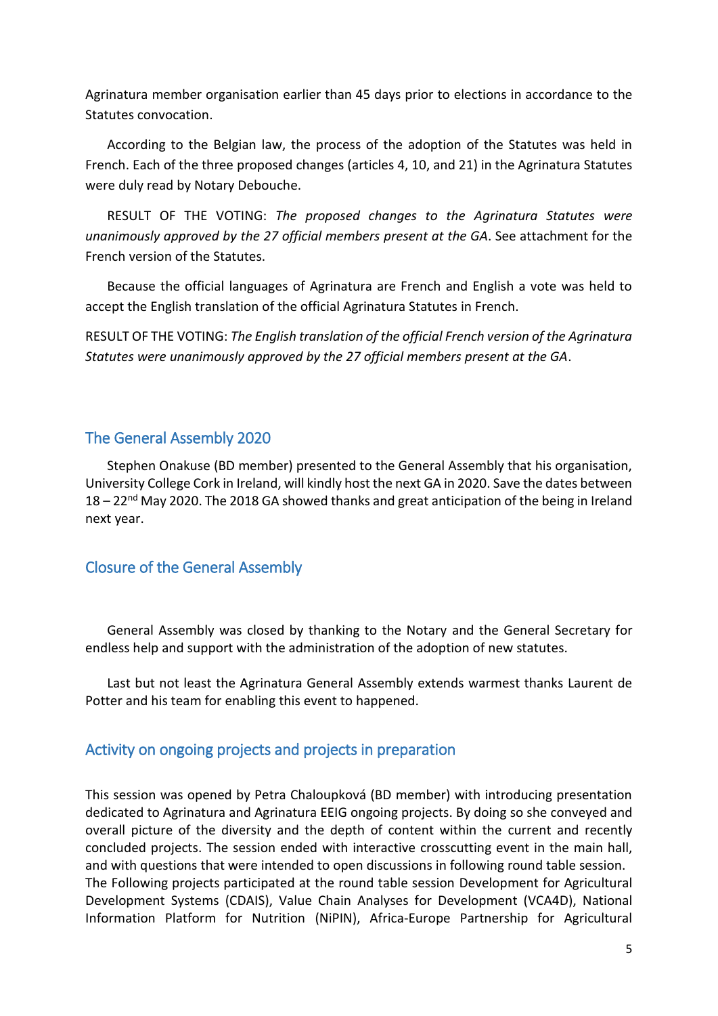Agrinatura member organisation earlier than 45 days prior to elections in accordance to the Statutes convocation.

According to the Belgian law, the process of the adoption of the Statutes was held in French. Each of the three proposed changes (articles 4, 10, and 21) in the Agrinatura Statutes were duly read by Notary Debouche.

RESULT OF THE VOTING: *The proposed changes to the Agrinatura Statutes were unanimously approved by the 27 official members present at the GA*. See attachment for the French version of the Statutes.

Because the official languages of Agrinatura are French and English a vote was held to accept the English translation of the official Agrinatura Statutes in French.

RESULT OF THE VOTING: *The English translation of the official French version of the Agrinatura Statutes were unanimously approved by the 27 official members present at the GA*.

#### The General Assembly 2020

Stephen Onakuse (BD member) presented to the General Assembly that his organisation, University College Cork in Ireland, will kindly host the next GA in 2020. Save the dates between 18 – 22<sup>nd</sup> May 2020. The 2018 GA showed thanks and great anticipation of the being in Ireland next year.

#### Closure of the General Assembly

General Assembly was closed by thanking to the Notary and the General Secretary for endless help and support with the administration of the adoption of new statutes.

Last but not least the Agrinatura General Assembly extends warmest thanks Laurent de Potter and his team for enabling this event to happened.

#### Activity on ongoing projects and projects in preparation

This session was opened by Petra Chaloupková (BD member) with introducing presentation dedicated to Agrinatura and Agrinatura EEIG ongoing projects. By doing so she conveyed and overall picture of the diversity and the depth of content within the current and recently concluded projects. The session ended with interactive crosscutting event in the main hall, and with questions that were intended to open discussions in following round table session. The Following projects participated at the round table session Development for Agricultural Development Systems (CDAIS), Value Chain Analyses for Development (VCA4D), National Information Platform for Nutrition (NiPIN), Africa-Europe Partnership for Agricultural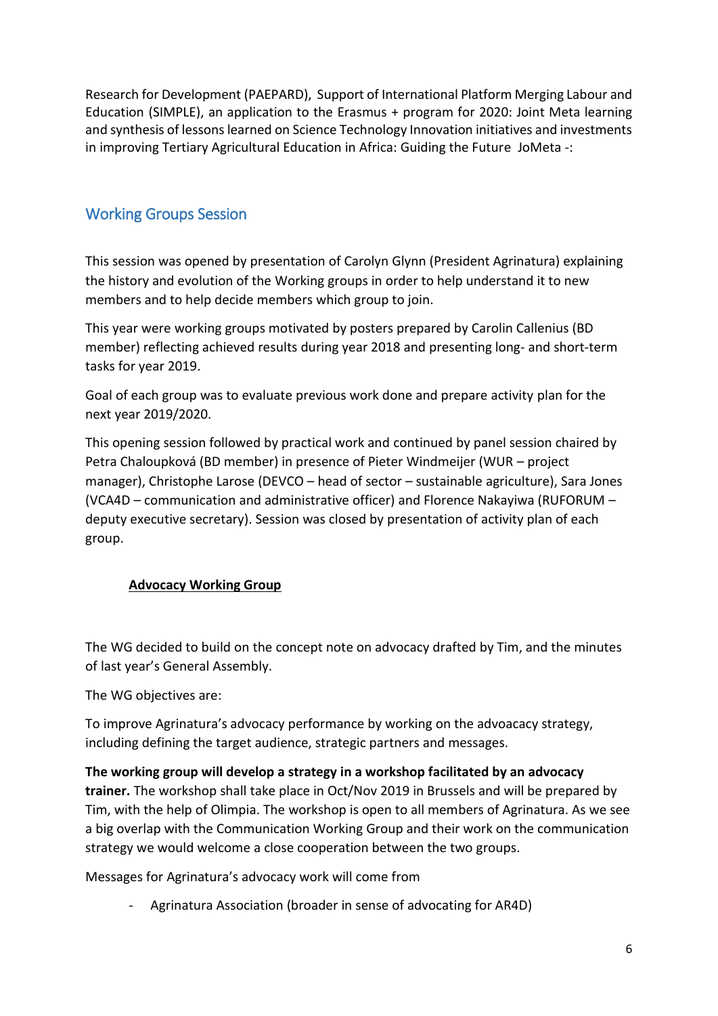Research for Development (PAEPARD), Support of International Platform Merging Labour and Education (SIMPLE), an application to the Erasmus + program for 2020: Joint Meta learning and synthesis of lessons learned on Science Technology Innovation initiatives and investments in improving Tertiary Agricultural Education in Africa: Guiding the Future JoMeta -:

## Working Groups Session

This session was opened by presentation of Carolyn Glynn (President Agrinatura) explaining the history and evolution of the Working groups in order to help understand it to new members and to help decide members which group to join.

This year were working groups motivated by posters prepared by Carolin Callenius (BD member) reflecting achieved results during year 2018 and presenting long- and short-term tasks for year 2019.

Goal of each group was to evaluate previous work done and prepare activity plan for the next year 2019/2020.

This opening session followed by practical work and continued by panel session chaired by Petra Chaloupková (BD member) in presence of Pieter Windmeijer (WUR – project manager), Christophe Larose (DEVCO – head of sector – sustainable agriculture), Sara Jones (VCA4D – communication and administrative officer) and Florence Nakayiwa (RUFORUM – deputy executive secretary). Session was closed by presentation of activity plan of each group.

#### **Advocacy Working Group**

The WG decided to build on the concept note on advocacy drafted by Tim, and the minutes of last year's General Assembly.

The WG objectives are:

To improve Agrinatura's advocacy performance by working on the advoacacy strategy, including defining the target audience, strategic partners and messages.

#### **The working group will develop a strategy in a workshop facilitated by an advocacy**

**trainer.** The workshop shall take place in Oct/Nov 2019 in Brussels and will be prepared by Tim, with the help of Olimpia. The workshop is open to all members of Agrinatura. As we see a big overlap with the Communication Working Group and their work on the communication strategy we would welcome a close cooperation between the two groups.

Messages for Agrinatura's advocacy work will come from

Agrinatura Association (broader in sense of advocating for AR4D)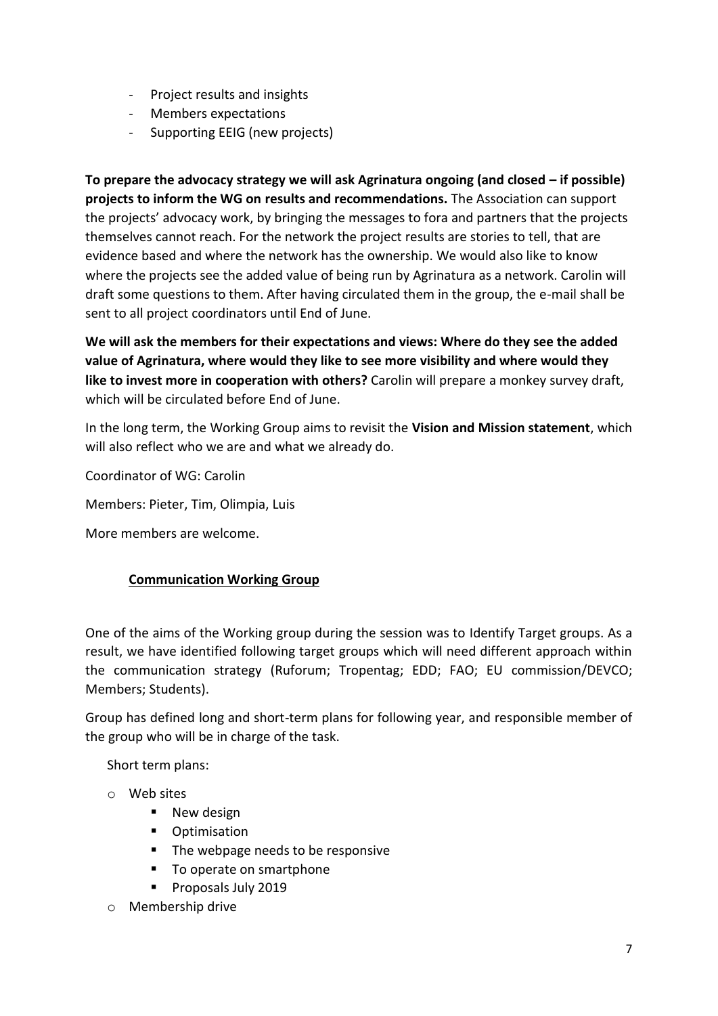- Project results and insights
- Members expectations
- Supporting EEIG (new projects)

**To prepare the advocacy strategy we will ask Agrinatura ongoing (and closed – if possible) projects to inform the WG on results and recommendations.** The Association can support the projects' advocacy work, by bringing the messages to fora and partners that the projects themselves cannot reach. For the network the project results are stories to tell, that are evidence based and where the network has the ownership. We would also like to know where the projects see the added value of being run by Agrinatura as a network. Carolin will draft some questions to them. After having circulated them in the group, the e-mail shall be sent to all project coordinators until End of June.

**We will ask the members for their expectations and views: Where do they see the added value of Agrinatura, where would they like to see more visibility and where would they like to invest more in cooperation with others?** Carolin will prepare a monkey survey draft, which will be circulated before End of June.

In the long term, the Working Group aims to revisit the **Vision and Mission statement**, which will also reflect who we are and what we already do.

Coordinator of WG: Carolin

Members: Pieter, Tim, Olimpia, Luis

More members are welcome.

#### **Communication Working Group**

One of the aims of the Working group during the session was to Identify Target groups. As a result, we have identified following target groups which will need different approach within the communication strategy (Ruforum; Tropentag; EDD; FAO; EU commission/DEVCO; Members; Students).

Group has defined long and short-term plans for following year, and responsible member of the group who will be in charge of the task.

Short term plans:

- o Web sites
	- New design
	- Optimisation
	- The webpage needs to be responsive
	- To operate on smartphone
	- Proposals July 2019
- o Membership drive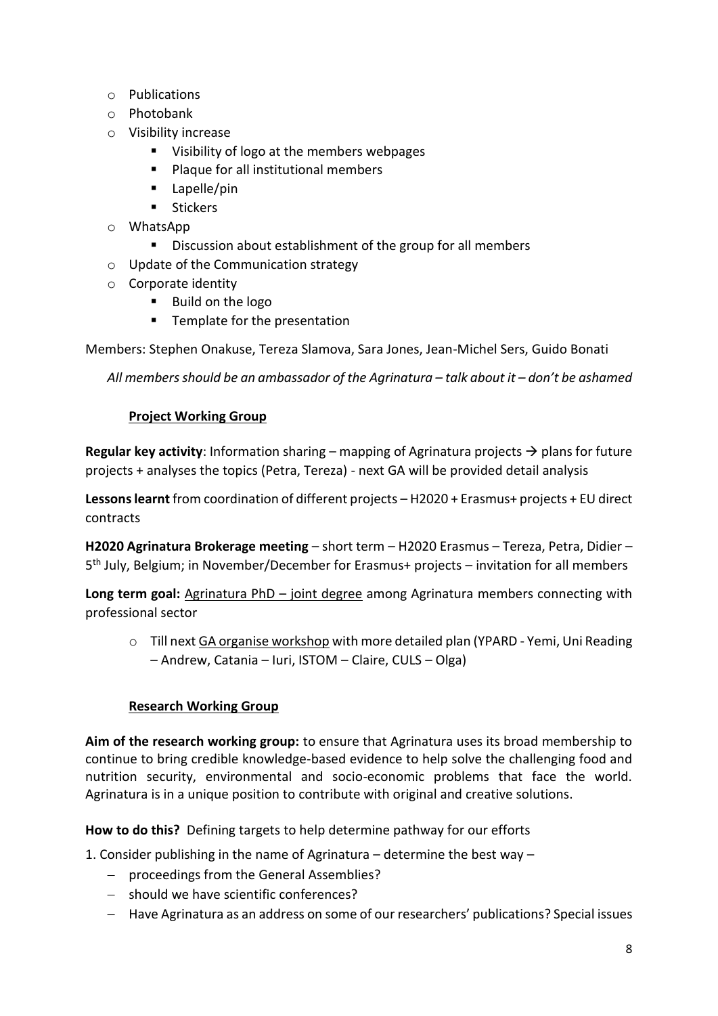- o Publications
- o Photobank
- o Visibility increase
	- Visibility of logo at the members webpages
	- Plaque for all institutional members
	- Lapelle/pin
	- Stickers
- o WhatsApp
	- Discussion about establishment of the group for all members
- o Update of the Communication strategy
- o Corporate identity
	- Build on the logo
	- Template for the presentation

Members: Stephen Onakuse, Tereza Slamova, Sara Jones, Jean-Michel Sers, Guido Bonati

*All members should be an ambassador of the Agrinatura – talk about it – don't be ashamed*

#### **Project Working Group**

**Regular key activity**: Information sharing – mapping of Agrinatura projects  $\rightarrow$  plans for future projects + analyses the topics (Petra, Tereza) - next GA will be provided detail analysis

**Lessons learnt** from coordination of different projects – H2020 + Erasmus+ projects + EU direct contracts

**H2020 Agrinatura Brokerage meeting** – short term – H2020 Erasmus – Tereza, Petra, Didier – 5<sup>th</sup> July, Belgium; in November/December for Erasmus+ projects - invitation for all members

**Long term goal:** Agrinatura PhD – joint degree among Agrinatura members connecting with professional sector

 $\circ$  Till next GA organise workshop with more detailed plan (YPARD - Yemi, Uni Reading – Andrew, Catania – Iuri, ISTOM – Claire, CULS – Olga)

#### **Research Working Group**

**Aim of the research working group:** to ensure that Agrinatura uses its broad membership to continue to bring credible knowledge-based evidence to help solve the challenging food and nutrition security, environmental and socio-economic problems that face the world. Agrinatura is in a unique position to contribute with original and creative solutions.

**How to do this?** Defining targets to help determine pathway for our efforts

1. Consider publishing in the name of Agrinatura – determine the best way –

- − proceedings from the General Assemblies?
- − should we have scientific conferences?
- − Have Agrinatura as an address on some of our researchers' publications? Special issues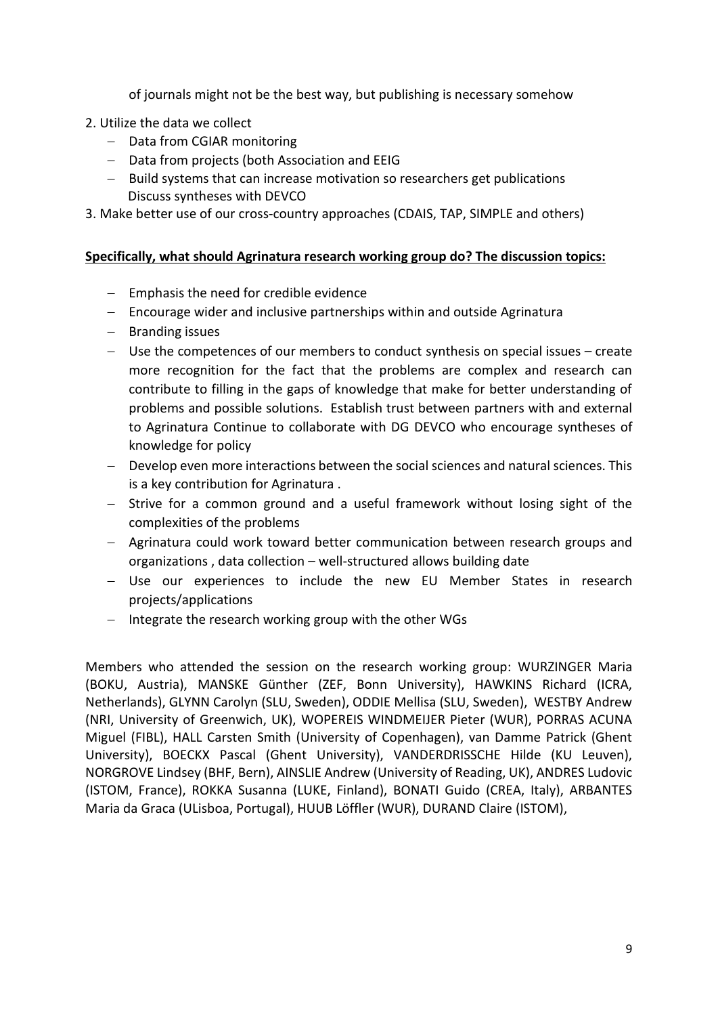of journals might not be the best way, but publishing is necessary somehow

- 2. Utilize the data we collect
	- − Data from CGIAR monitoring
	- − Data from projects (both Association and EEIG
	- − Build systems that can increase motivation so researchers get publications Discuss syntheses with DEVCO

3. Make better use of our cross-country approaches (CDAIS, TAP, SIMPLE and others)

#### **Specifically, what should Agrinatura research working group do? The discussion topics:**

- − Emphasis the need for credible evidence
- − Encourage wider and inclusive partnerships within and outside Agrinatura
- − Branding issues
- − Use the competences of our members to conduct synthesis on special issues create more recognition for the fact that the problems are complex and research can contribute to filling in the gaps of knowledge that make for better understanding of problems and possible solutions. Establish trust between partners with and external to Agrinatura Continue to collaborate with DG DEVCO who encourage syntheses of knowledge for policy
- − Develop even more interactions between the social sciences and natural sciences. This is a key contribution for Agrinatura .
- − Strive for a common ground and a useful framework without losing sight of the complexities of the problems
- − Agrinatura could work toward better communication between research groups and organizations , data collection – well-structured allows building date
- − Use our experiences to include the new EU Member States in research projects/applications
- − Integrate the research working group with the other WGs

Members who attended the session on the research working group: WURZINGER Maria (BOKU, Austria), MANSKE Günther (ZEF, Bonn University), HAWKINS Richard (ICRA, Netherlands), GLYNN Carolyn (SLU, Sweden), ODDIE Mellisa (SLU, Sweden), WESTBY Andrew (NRI, University of Greenwich, UK), WOPEREIS WINDMEIJER Pieter (WUR), PORRAS ACUNA Miguel (FIBL), HALL Carsten Smith (University of Copenhagen), van Damme Patrick (Ghent University), BOECKX Pascal (Ghent University), VANDERDRISSCHE Hilde (KU Leuven), NORGROVE Lindsey (BHF, Bern), AINSLIE Andrew (University of Reading, UK), ANDRES Ludovic (ISTOM, France), ROKKA Susanna (LUKE, Finland), BONATI Guido (CREA, Italy), ARBANTES Maria da Graca (ULisboa, Portugal), HUUB Löffler (WUR), DURAND Claire (ISTOM),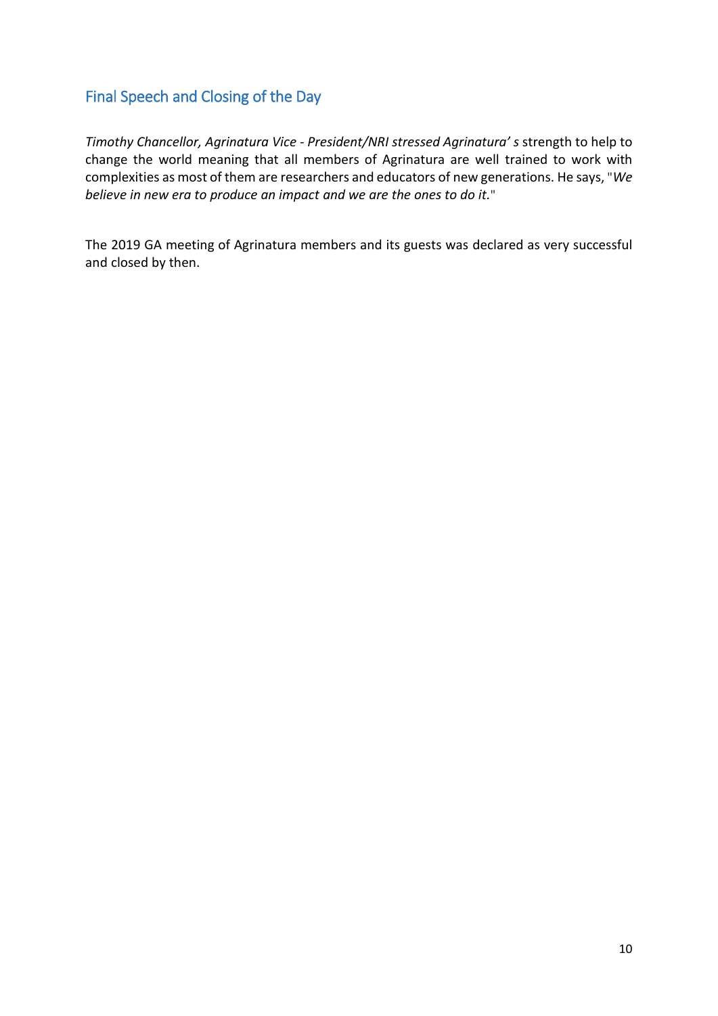## Final Speech and Closing of the Day

*Timothy Chancellor, Agrinatura Vice - President/NRI stressed Agrinatura' s* strength to help to change the world meaning that all members of Agrinatura are well trained to work with complexities as most of them are researchers and educators of new generations. He says, "*We believe in new era to produce an impact and we are the ones to do it.*"

The 2019 GA meeting of Agrinatura members and its guests was declared as very successful and closed by then.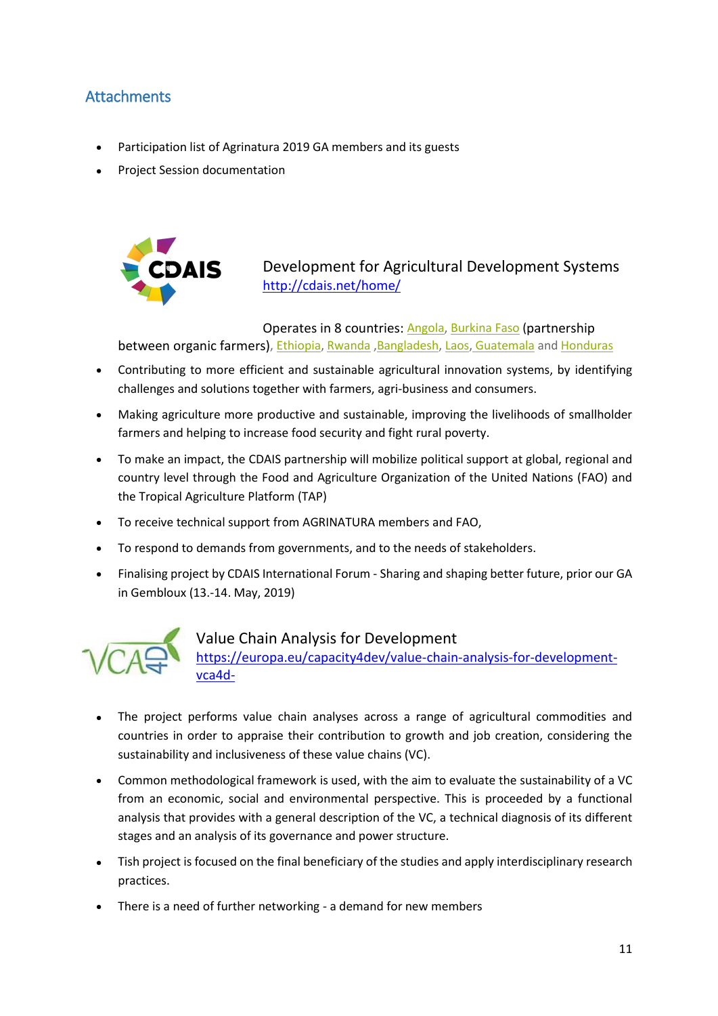## Attachments

- Participation list of Agrinatura 2019 GA members and its guests
- Project Session documentation



Development for Agricultural Development Systems <http://cdais.net/home/>

Operates in 8 countries: [Angola,](http://cdais.net/angola/) [Burkina](http://cdais.net/burkina-faso/) Faso (partnership between organic farmers), [Ethiopia,](http://cdais.net/ethiopia/) [Rwanda](http://cdais.net/rwanda/), Bangladesh, [Laos,](http://cdais.net/laos) [Guatemala](http://cdais.net/Guatemala) and [Honduras](http://cdais.net/honduras)

- Contributing to more efficient and sustainable agricultural innovation systems, by identifying challenges and solutions together with farmers, agri-business and consumers.
- Making agriculture more productive and sustainable, improving the livelihoods of smallholder farmers and helping to increase food security and fight rural poverty.
- To make an impact, the CDAIS partnership will mobilize political support at global, regional and country level through the Food and Agriculture Organization of the United Nations (FAO) and the Tropical Agriculture Platform (TAP)
- To receive technical support from AGRINATURA members and FAO,
- To respond to demands from governments, and to the needs of stakeholders.
- Finalising project by CDAIS International Forum Sharing and shaping better future, prior our GA in Gembloux (13.-14. May, 2019)



#### Value Chain Analysis for Development

[https://europa.eu/capacity4dev/value-chain-analysis-for-development](https://europa.eu/capacity4dev/value-chain-analysis-for-development-vca4d-)[vca4d-](https://europa.eu/capacity4dev/value-chain-analysis-for-development-vca4d-)

- The project performs value chain analyses across a range of agricultural commodities and countries in order to appraise their contribution to growth and job creation, considering the sustainability and inclusiveness of these value chains (VC).
- Common methodological framework is used, with the aim to evaluate the sustainability of a VC from an economic, social and environmental perspective. This is proceeded by a functional analysis that provides with a general description of the VC, a technical diagnosis of its different stages and an analysis of its governance and power structure.
- Tish project is focused on the final beneficiary of the studies and apply interdisciplinary research practices.
- There is a need of further networking a demand for new members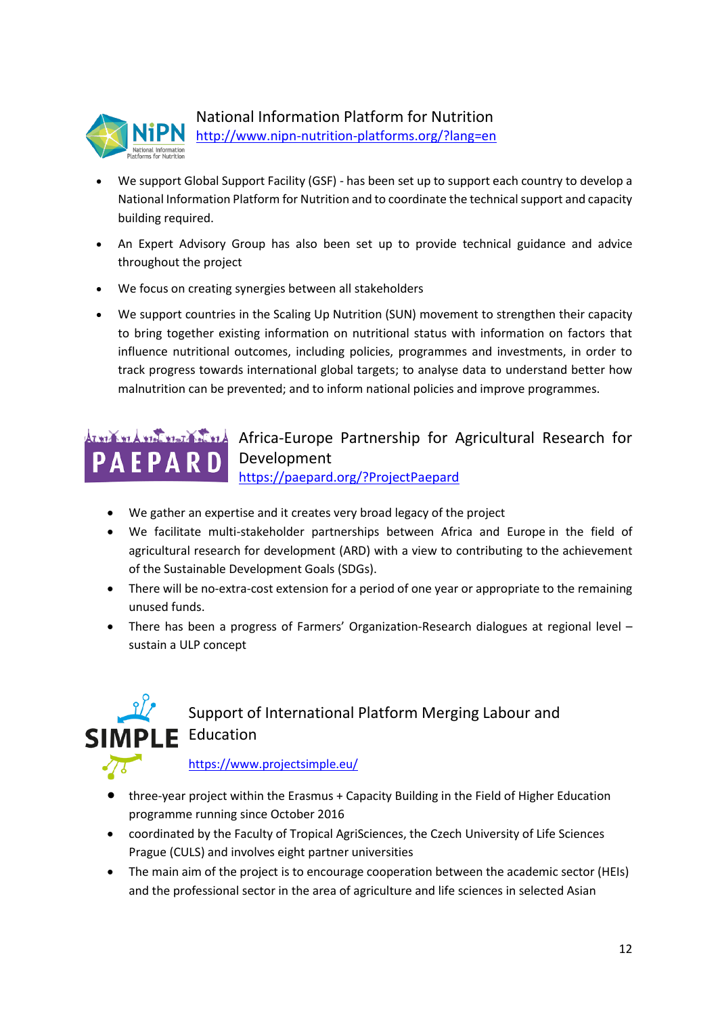

## National Information Platform for Nutrition

<http://www.nipn-nutrition-platforms.org/?lang=en>

- We support Global Support Facility (GSF) has been set up to support each country to develop a National Information Platform for Nutrition and to coordinate the technical support and capacity building required.
- An Expert Advisory Group has also been set up to provide technical guidance and advice throughout the project
- We focus on creating synergies between all stakeholders
- We support countries in the [Scaling Up Nutrition](http://scalingupnutrition.org/) (SUN) movement to strengthen their capacity to bring together existing information on nutritional status with information on factors that influence nutritional outcomes, including policies, programmes and investments, in order to track progress towards international global targets; to analyse data to understand better how malnutrition can be prevented; and to inform national policies and improve programmes.

## **African-Europe Partnership for Agricultural Research for** Development <https://paepard.org/?ProjectPaepard>

- We gather an expertise and it creates very broad legacy of the project
- We facilitate multi-stakeholder partnerships between Africa and Europe in the field of agricultural research for development (ARD) with a view to contributing to the achievement of the Sustainable Development Goals (SDGs).
- There will be no-extra-cost extension for a period of one year or appropriate to the remaining unused funds.
- There has been a progress of Farmers' Organization-Research dialogues at regional level sustain a ULP concept



<https://www.projectsimple.eu/>

- three-year project within the Erasmus + Capacity Building in the Field of Higher Education programme running since October 2016
- coordinated by the Faculty of Tropical AgriSciences, the Czech University of Life Sciences Prague (CULS) and involves eight partner universities
- The main aim of the project is to encourage cooperation between the academic sector (HEIs) and the professional sector in the area of agriculture and life sciences in selected Asian